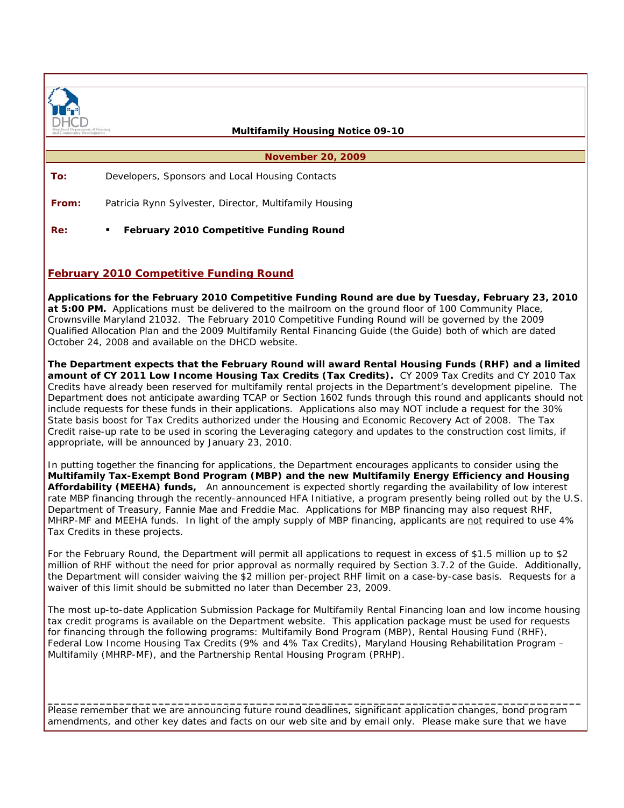

 **Multifamily Housing Notice 09-10** 

**November 20, 2009** 

**To:** Developers, Sponsors and Local Housing Contacts

**From:** Patricia Rynn Sylvester, Director, Multifamily Housing

**Re:**  *February 2010 Competitive Funding Round* 

## **February 2010 Competitive Funding Round**

**Applications for the February 2010 Competitive Funding Round are due by Tuesday, February 23, 2010 at 5:00 PM.** Applications must be delivered to the mailroom on the ground floor of 100 Community Place, Crownsville Maryland 21032. The February 2010 Competitive Funding Round will be governed by the 2009 Qualified Allocation Plan and the 2009 Multifamily Rental Financing Guide (the Guide) both of which are dated October 24, 2008 and available on the DHCD website.

**The Department expects that the February Round will award Rental Housing Funds (RHF) and a limited amount of CY 2011 Low Income Housing Tax Credits (Tax Credits).** CY 2009 Tax Credits and CY 2010 Tax Credits have already been reserved for multifamily rental projects in the Department's development pipeline. The Department does not anticipate awarding TCAP or Section 1602 funds through this round and applicants should not include requests for these funds in their applications. Applications also may NOT include a request for the 30% State basis boost for Tax Credits authorized under the Housing and Economic Recovery Act of 2008. The Tax Credit raise-up rate to be used in scoring the Leveraging category and updates to the construction cost limits, if appropriate, will be announced by January 23, 2010.

In putting together the financing for applications, the Department encourages applicants to consider using the **Multifamily Tax-Exempt Bond Program (MBP) and the new Multifamily Energy Efficiency and Housing Affordability (MEEHA) funds,** An announcement is expected shortly regarding the availability of low interest rate MBP financing through the recently-announced HFA Initiative, a program presently being rolled out by the U.S. Department of Treasury, Fannie Mae and Freddie Mac. Applications for MBP financing may also request RHF, MHRP-MF and MEEHA funds. In light of the amply supply of MBP financing, applicants are not required to use 4% Tax Credits in these projects.

For the February Round, the Department will permit all applications to request in excess of \$1.5 million up to \$2 million of RHF without the need for prior approval as normally required by Section 3.7.2 of the Guide. Additionally, the Department will consider waiving the \$2 million per-project RHF limit on a case-by-case basis. Requests for a waiver of this limit should be submitted no later than December 23, 2009.

The most up-to-date Application Submission Package for Multifamily Rental Financing loan and low income housing tax credit programs is available on the Department website. This application package must be used for requests for financing through the following programs: Multifamily Bond Program (MBP), Rental Housing Fund (RHF), Federal Low Income Housing Tax Credits (9% and 4% Tax Credits), Maryland Housing Rehabilitation Program – Multifamily (MHRP-MF), and the Partnership Rental Housing Program (PRHP).

Please remember that we are announcing future round deadlines, significant application changes, bond program amendments, and other key dates and facts on our web site and by email only. Please make sure that we have

**\_\_\_\_\_\_\_\_\_\_\_\_\_\_\_\_\_\_\_\_\_\_\_\_\_\_\_\_\_\_\_\_\_\_\_\_\_\_\_\_\_\_\_\_\_\_\_\_\_\_\_\_\_\_\_\_\_\_\_\_\_\_\_\_\_\_\_\_\_\_\_\_\_\_\_\_\_\_\_\_\_\_**